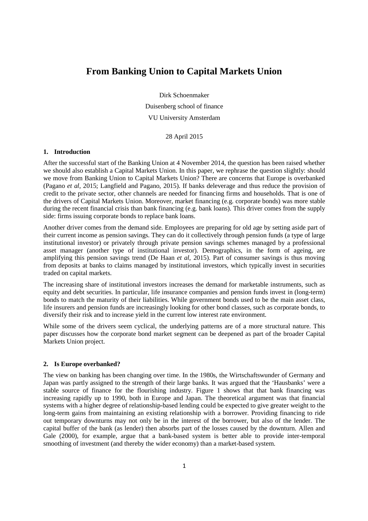# **From Banking Union to Capital Markets Union**

Dirk Schoenmaker

Duisenberg school of finance

VU University Amsterdam

28 April 2015

## **1. Introduction**

After the successful start of the Banking Union at 4 November 2014, the question has been raised whether we should also establish a Capital Markets Union. In this paper, we rephrase the question slightly: should we move from Banking Union to Capital Markets Union? There are concerns that Europe is overbanked (Pagano *et al*, 2015; Langfield and Pagano, 2015). If banks deleverage and thus reduce the provision of credit to the private sector, other channels are needed for financing firms and households. That is one of the drivers of Capital Markets Union. Moreover, market financing (e.g. corporate bonds) was more stable during the recent financial crisis than bank financing (e.g. bank loans). This driver comes from the supply side: firms issuing corporate bonds to replace bank loans.

Another driver comes from the demand side. Employees are preparing for old age by setting aside part of their current income as pension savings. They can do it collectively through pension funds (a type of large institutional investor) or privately through private pension savings schemes managed by a professional asset manager (another type of institutional investor). Demographics, in the form of ageing, are amplifying this pension savings trend (De Haan *et al*, 2015). Part of consumer savings is thus moving from deposits at banks to claims managed by institutional investors, which typically invest in securities traded on capital markets.

The increasing share of institutional investors increases the demand for marketable instruments, such as equity and debt securities. In particular, life insurance companies and pension funds invest in (long-term) bonds to match the maturity of their liabilities. While government bonds used to be the main asset class, life insurers and pension funds are increasingly looking for other bond classes, such as corporate bonds, to diversify their risk and to increase yield in the current low interest rate environment.

While some of the drivers seem cyclical, the underlying patterns are of a more structural nature. This paper discusses how the corporate bond market segment can be deepened as part of the broader Capital Markets Union project.

### **2. Is Europe overbanked?**

The view on banking has been changing over time. In the 1980s, the Wirtschaftswunder of Germany and Japan was partly assigned to the strength of their large banks. It was argued that the 'Hausbanks' were a stable source of finance for the flourishing industry. Figure 1 shows that that bank financing was increasing rapidly up to 1990, both in Europe and Japan. The theoretical argument was that financial systems with a higher degree of relationship-based lending could be expected to give greater weight to the long-term gains from maintaining an existing relationship with a borrower. Providing financing to ride out temporary downturns may not only be in the interest of the borrower, but also of the lender. The capital buffer of the bank (as lender) then absorbs part of the losses caused by the downturn. Allen and Gale (2000), for example, argue that a bank-based system is better able to provide inter-temporal smoothing of investment (and thereby the wider economy) than a market-based system.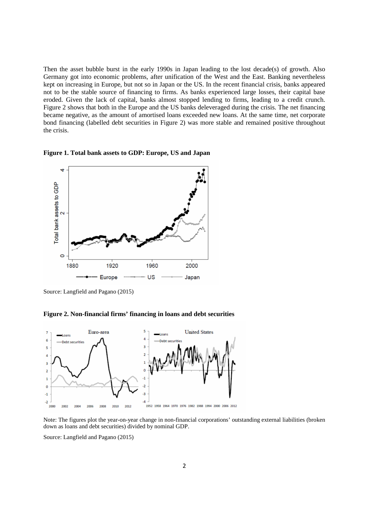Then the asset bubble burst in the early 1990s in Japan leading to the lost decade(s) of growth. Also Germany got into economic problems, after unification of the West and the East. Banking nevertheless kept on increasing in Europe, but not so in Japan or the US. In the recent financial crisis, banks appeared not to be the stable source of financing to firms. As banks experienced large losses, their capital base eroded. Given the lack of capital, banks almost stopped lending to firms, leading to a credit crunch. Figure 2 shows that both in the Europe and the US banks deleveraged during the crisis. The net financing became negative, as the amount of amortised loans exceeded new loans. At the same time, net corporate bond financing (labelled debt securities in Figure 2) was more stable and remained positive throughout the crisis.

**Figure 1. Total bank assets to GDP: Europe, US and Japan** 



Source: Langfield and Pagano (2015)

**Figure 2. Non-financial firms' financing in loans and debt securities** 



Note: The figures plot the year-on-year change in non-financial corporations' outstanding external liabilities (broken down as loans and debt securities) divided by nominal GDP.

Source: Langfield and Pagano (2015)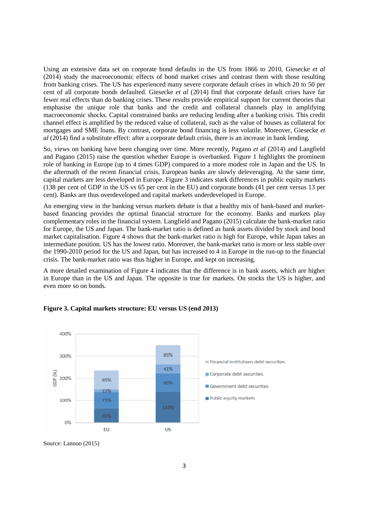Using an extensive data set on corporate bond defaults in the US from 1866 to 2010, Giesecke *et al* (2014) study the macroeconomic effects of bond market crises and contrast them with those resulting from banking crises. The US has experienced many severe corporate default crises in which 20 to 50 per cent of all corporate bonds defaulted. Giesecke *et al* (2014) find that corporate default crises have far fewer real effects than do banking crises. These results provide empirical support for current theories that emphasise the unique role that banks and the credit and collateral channels play in amplifying macroeconomic shocks. Capital constrained banks are reducing lending after a banking crisis. This credit channel effect is amplified by the reduced value of collateral, such as the value of houses as collateral for mortgages and SME loans. By contrast, corporate bond financing is less volatile. Moreover, Giesecke *et al* (2014) find a substitute effect: after a corporate default crisis, there is an increase in bank lending.

So, views on banking have been changing over time. More recently, Pagano *et al* (2014) and Langfield and Pagano (2015) raise the question whether Europe is overbanked. Figure 1 highlights the prominent role of banking in Europe (up to 4 times GDP) compared to a more modest role in Japan and the US. In the aftermath of the recent financial crisis, European banks are slowly deleveraging. At the same time, capital markets are less developed in Europe. Figure 3 indicates stark differences in public equity markets (138 per cent of GDP in the US vs 65 per cent in the EU) and corporate bonds (41 per cent versus 13 per cent). Banks are thus overdeveloped and capital markets underdeveloped in Europe.

An emerging view in the banking versus markets debate is that a healthy mix of bank-based and marketbased financing provides the optimal financial structure for the economy. Banks and markets play complementary roles in the financial system. Langfield and Pagano (2015) calculate the bank-market ratio for Europe, the US and Japan. The bank-market ratio is defined as bank assets divided by stock and bond market capitalisation. Figure 4 shows that the bank-market ratio is high for Europe, while Japan takes an intermediate position. US has the lowest ratio. Moreover, the bank-market ratio is more or less stable over the 1990-2010 period for the US and Japan, but has increased to 4 in Europe in the run-up to the financial crisis. The bank-market ratio was thus higher in Europe, and kept on increasing.

A more detailed examination of Figure 4 indicates that the difference is in bank assets, which are higher in Europe than in the US and Japan. The opposite is true for markets. On stocks the US is higher, and even more so on bonds.



### **Figure 3. Capital markets structure: EU versus US (end 2013)**

Source: Lannoo (2015)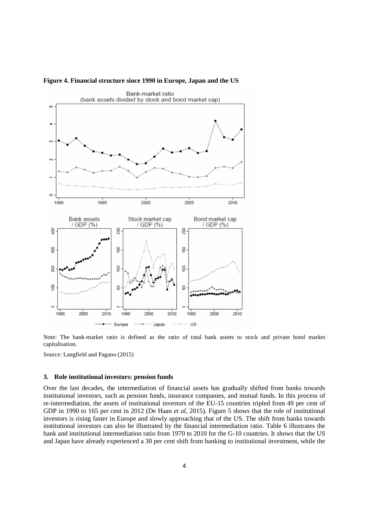

#### **Figure 4. Financial structure since 1990 in Europe, Japan and the US**

Note: The bank-market ratio is defined as the ratio of total bank assets to stock and private bond market capitalisation.

Source: Langfield and Pagano (2015)

#### **3. Role institutional investors: pension funds**

Over the last decades, the intermediation of financial assets has gradually shifted from banks towards institutional investors, such as pension funds, insurance companies, and mutual funds. In this process of re-intermediation, the assets of institutional investors of the EU-15 countries tripled from 49 per cent of GDP in 1990 to 165 per cent in 2012 (De Haan *et al*, 2015). Figure 5 shows that the role of institutional investors is rising faster in Europe and slowly approaching that of the US. The shift from banks towards institutional investors can also be illustrated by the financial intermediation ratio. Table 6 illustrates the bank and institutional intermediation ratio from 1970 to 2010 for the G-10 countries. It shows that the US and Japan have already experienced a 30 per cent shift from banking to institutional investment, while the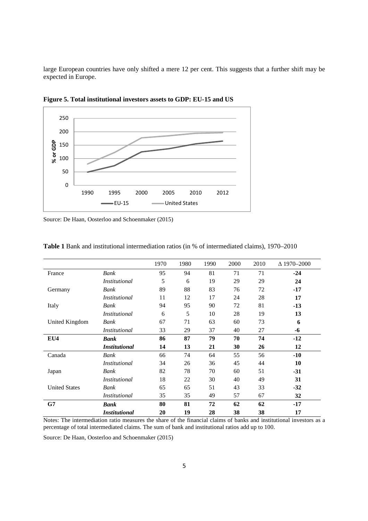large European countries have only shifted a mere 12 per cent. This suggests that a further shift may be expected in Europe.



**Figure 5. Total institutional investors assets to GDP: EU-15 and US** 

Source: De Haan, Oosterloo and Schoenmaker (2015)

|                      |                      | 1970 | 1980 | 1990 | 2000 | 2010 | $\Delta$ 1970–2000 |
|----------------------|----------------------|------|------|------|------|------|--------------------|
| France               | Bank                 | 95   | 94   | 81   | 71   | 71   | $-24$              |
|                      | <i>Institutional</i> | 5    | 6    | 19   | 29   | 29   | 24                 |
| Germany              | Bank                 | 89   | 88   | 83   | 76   | 72   | $-17$              |
|                      | <i>Institutional</i> | 11   | 12   | 17   | 24   | 28   | 17                 |
| Italy                | Bank                 | 94   | 95   | 90   | 72   | 81   | $-13$              |
|                      | <i>Institutional</i> | 6    | 5    | 10   | 28   | 19   | 13                 |
| United Kingdom       | Bank                 | 67   | 71   | 63   | 60   | 73   | 6                  |
|                      | <i>Institutional</i> | 33   | 29   | 37   | 40   | 27   | -6                 |
| EU4                  | <b>Bank</b>          | 86   | 87   | 79   | 70   | 74   | $-12$              |
|                      | <i>Institutional</i> | 14   | 13   | 21   | 30   | 26   | 12                 |
| Canada               | Bank                 | 66   | 74   | 64   | 55   | 56   | $-10$              |
|                      | <i>Institutional</i> | 34   | 26   | 36   | 45   | 44   | 10                 |
| Japan                | Bank                 | 82   | 78   | 70   | 60   | 51   | $-31$              |
|                      | <i>Institutional</i> | 18   | 22   | 30   | 40   | 49   | 31                 |
| <b>United States</b> | Bank                 | 65   | 65   | 51   | 43   | 33   | $-32$              |
|                      | <i>Institutional</i> | 35   | 35   | 49   | 57   | 67   | 32                 |
| G7                   | <b>Bank</b>          | 80   | 81   | 72   | 62   | 62   | $-17$              |
|                      | <b>Institutional</b> | 20   | 19   | 28   | 38   | 38   | 17                 |

**Table 1** Bank and institutional intermediation ratios (in % of intermediated claims), 1970–2010

Notes: The intermediation ratio measures the share of the financial claims of banks and institutional investors as a percentage of total intermediated claims. The sum of bank and institutional ratios add up to 100.

Source: De Haan, Oosterloo and Schoenmaker (2015)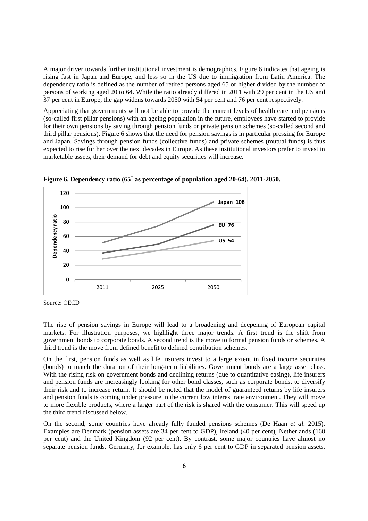A major driver towards further institutional investment is demographics. Figure 6 indicates that ageing is rising fast in Japan and Europe, and less so in the US due to immigration from Latin America. The dependency ratio is defined as the number of retired persons aged 65 or higher divided by the number of persons of working aged 20 to 64. While the ratio already differed in 2011 with 29 per cent in the US and 37 per cent in Europe, the gap widens towards 2050 with 54 per cent and 76 per cent respectively.

Appreciating that governments will not be able to provide the current levels of health care and pensions (so-called first pillar pensions) with an ageing population in the future, employees have started to provide for their own pensions by saving through pension funds or private pension schemes (so-called second and third pillar pensions). Figure 6 shows that the need for pension savings is in particular pressing for Europe and Japan. Savings through pension funds (collective funds) and private schemes (mutual funds) is thus expected to rise further over the next decades in Europe. As these institutional investors prefer to invest in marketable assets, their demand for debt and equity securities will increase.



**Figure 6. Dependency ratio (65<sup>+</sup> as percentage of population aged 20-64), 2011-2050.** 

The rise of pension savings in Europe will lead to a broadening and deepening of European capital markets. For illustration purposes, we highlight three major trends. A first trend is the shift from government bonds to corporate bonds. A second trend is the move to formal pension funds or schemes. A third trend is the move from defined benefit to defined contribution schemes.

On the first, pension funds as well as life insurers invest to a large extent in fixed income securities (bonds) to match the duration of their long-term liabilities. Government bonds are a large asset class. With the rising risk on government bonds and declining returns (due to quantitative easing), life insurers and pension funds are increasingly looking for other bond classes, such as corporate bonds, to diversify their risk and to increase return. It should be noted that the model of guaranteed returns by life insurers and pension funds is coming under pressure in the current low interest rate environment. They will move to more flexible products, where a larger part of the risk is shared with the consumer. This will speed up the third trend discussed below.

On the second, some countries have already fully funded pensions schemes (De Haan *et al*, 2015). Examples are Denmark (pension assets are 34 per cent to GDP), Ireland (40 per cent), Netherlands (168 per cent) and the United Kingdom (92 per cent). By contrast, some major countries have almost no separate pension funds. Germany, for example, has only 6 per cent to GDP in separated pension assets.

Source: OECD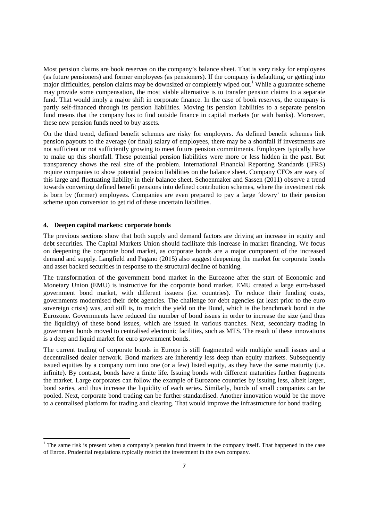Most pension claims are book reserves on the company's balance sheet. That is very risky for employees (as future pensioners) and former employees (as pensioners). If the company is defaulting, or getting into major difficulties, pension claims may be downsized or completely wiped out.<sup>1</sup> While a guarantee scheme may provide some compensation, the most viable alternative is to transfer pension claims to a separate fund. That would imply a major shift in corporate finance. In the case of book reserves, the company is partly self-financed through its pension liabilities. Moving its pension liabilities to a separate pension fund means that the company has to find outside finance in capital markets (or with banks). Moreover, these new pension funds need to buy assets.

On the third trend, defined benefit schemes are risky for employers. As defined benefit schemes link pension payouts to the average (or final) salary of employees, there may be a shortfall if investments are not sufficient or not sufficiently growing to meet future pension commitments. Employers typically have to make up this shortfall. These potential pension liabilities were more or less hidden in the past. But transparency shows the real size of the problem. International Financial Reporting Standards (IFRS) require companies to show potential pension liabilities on the balance sheet. Company CFOs are wary of this large and fluctuating liability in their balance sheet. Schoenmaker and Sassen (2011) observe a trend towards converting defined benefit pensions into defined contribution schemes, where the investment risk is born by (former) employees. Companies are even prepared to pay a large 'dowry' to their pension scheme upon conversion to get rid of these uncertain liabilities.

#### **4. Deepen capital markets: corporate bonds**

l,

The previous sections show that both supply and demand factors are driving an increase in equity and debt securities. The Capital Markets Union should facilitate this increase in market financing. We focus on deepening the corporate bond market, as corporate bonds are a major component of the increased demand and supply. Langfield and Pagano (2015) also suggest deepening the market for corporate bonds and asset backed securities in response to the structural decline of banking.

The transformation of the government bond market in the Eurozone after the start of Economic and Monetary Union (EMU) is instructive for the corporate bond market. EMU created a large euro-based government bond market, with different issuers (i.e. countries). To reduce their funding costs, governments modernised their debt agencies. The challenge for debt agencies (at least prior to the euro sovereign crisis) was, and still is, to match the yield on the Bund, which is the benchmark bond in the Eurozone. Governments have reduced the number of bond issues in order to increase the size (and thus the liquidity) of these bond issues, which are issued in various tranches. Next, secondary trading in government bonds moved to centralised electronic facilities, such as MTS. The result of these innovations is a deep and liquid market for euro government bonds.

The current trading of corporate bonds in Europe is still fragmented with multiple small issues and a decentralised dealer network. Bond markets are inherently less deep than equity markets. Subsequently issued equities by a company turn into one (or a few) listed equity, as they have the same maturity (i.e. infinite). By contrast, bonds have a finite life. Issuing bonds with different maturities further fragments the market. Large corporates can follow the example of Eurozone countries by issuing less, albeit larger, bond series, and thus increase the liquidity of each series. Similarly, bonds of small companies can be pooled. Next, corporate bond trading can be further standardised. Another innovation would be the move to a centralised platform for trading and clearing. That would improve the infrastructure for bond trading.

 $<sup>1</sup>$  The same risk is present when a company's pension fund invests in the company itself. That happened in the case</sup> of Enron. Prudential regulations typically restrict the investment in the own company.